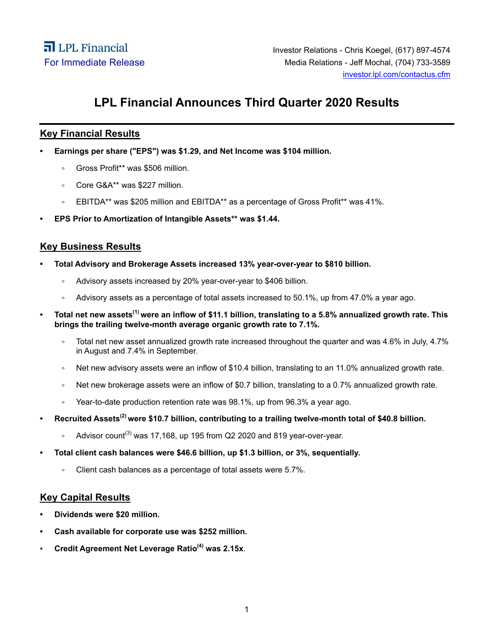# **LPL Financial Announces Third Quarter 2020 Results**

# **Key Financial Results**

- **Earnings per share ("EPS") was \$1.29, and Net Income was \$104 million.** 
	- Gross Profit\*\* was \$506 million.
	- Core G&A\*\* was \$227 million.  $\circ$
	- EBITDA\*\* was \$205 million and EBITDA\*\* as a percentage of Gross Profit\*\* was 41%.  $\circ$
- **EPS Prior to Amortization of Intangible Assets\*\* was \$1.44.**

# **Key Business Results**

- **Total Advisory and Brokerage Assets increased 13% year-over-year to \$810 billion.**
	- Advisory assets increased by 20% year-over-year to \$406 billion.
	- Advisory assets as a percentage of total assets increased to 50.1%, up from 47.0% a year ago.
- **Total net new assets(1) were an inflow of \$11.1 billion, translating to a 5.8% annualized growth rate. This brings the trailing twelve-month average organic growth rate to 7.1%.**
	- $\circ$ Total net new asset annualized growth rate increased throughout the quarter and was 4.6% in July, 4.7% in August and 7.4% in September.
	- Net new advisory assets were an inflow of \$10.4 billion, translating to an 11.0% annualized growth rate.  $\circ$
	- Net new brokerage assets were an inflow of \$0.7 billion, translating to a 0.7% annualized growth rate.  $\circ$
	- Year-to-date production retention rate was 98.1%, up from 96.3% a year ago.  $\circ$
- **Recruited Assets(2) were \$10.7 billion, contributing to a trailing twelve-month total of \$40.8 billion.**
	- Advisor count<sup>(3)</sup> was 17,168, up 195 from Q2 2020 and 819 year-over-year.  $\circ$
- **Total client cash balances were \$46.6 billion, up \$1.3 billion, or 3%, sequentially.**
	- $\circ$ Client cash balances as a percentage of total assets were 5.7%.

# **Key Capital Results**

- **Dividends were \$20 million.**
- **Cash available for corporate use was \$252 million.**
- **Credit Agreement Net Leverage Ratio(4) was 2.15x**.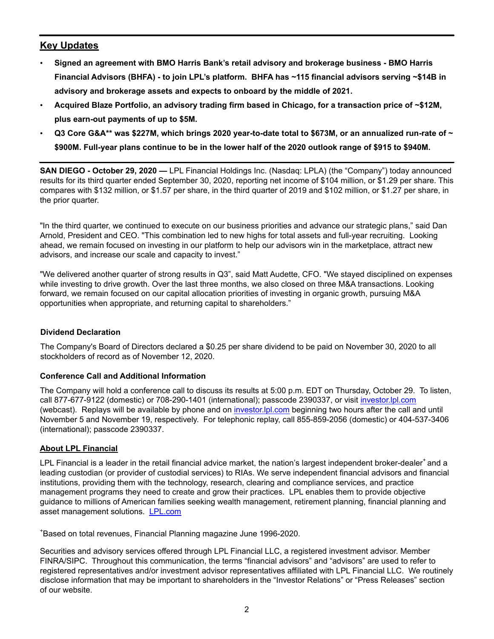# **Key Updates**

- **Signed an agreement with BMO Harris Bank's retail advisory and brokerage business BMO Harris Financial Advisors (BHFA) - to join LPL's platform. BHFA has ~115 financial advisors serving ~\$14B in advisory and brokerage assets and expects to onboard by the middle of 2021.**
- **Acquired Blaze Portfolio, an advisory trading firm based in Chicago, for a transaction price of ~\$12M, plus earn-out payments of up to \$5M.**
- **Q3 Core G&A\*\* was \$227M, which brings 2020 year-to-date total to \$673M, or an annualized run-rate of ~ \$900M. Full-year plans continue to be in the lower half of the 2020 outlook range of \$915 to \$940M.**

**SAN DIEGO - October 29, 2020 —** LPL Financial Holdings Inc. (Nasdaq: LPLA) (the "Company") today announced results for its third quarter ended September 30, 2020, reporting net income of \$104 million, or \$1.29 per share. This compares with \$132 million, or \$1.57 per share, in the third quarter of 2019 and \$102 million, or \$1.27 per share, in the prior quarter.

"In the third quarter, we continued to execute on our business priorities and advance our strategic plans," said Dan Arnold, President and CEO. "This combination led to new highs for total assets and full-year recruiting. Looking ahead, we remain focused on investing in our platform to help our advisors win in the marketplace, attract new advisors, and increase our scale and capacity to invest."

"We delivered another quarter of strong results in Q3", said Matt Audette, CFO. "We stayed disciplined on expenses while investing to drive growth. Over the last three months, we also closed on three M&A transactions. Looking forward, we remain focused on our capital allocation priorities of investing in organic growth, pursuing M&A opportunities when appropriate, and returning capital to shareholders."

#### **Dividend Declaration**

The Company's Board of Directors declared a \$0.25 per share dividend to be paid on November 30, 2020 to all stockholders of record as of November 12, 2020.

# **Conference Call and Additional Information**

The Company will hold a conference call to discuss its results at 5:00 p.m. EDT on Thursday, October 29. To listen, call 877-677-9122 (domestic) or 708-290-1401 (international); passcode 2390337, or visit investor.lpl.com (webcast). Replays will be available by phone and on investor.lpl.com beginning two hours after the call and until November 5 and November 19, respectively. For telephonic replay, call 855-859-2056 (domestic) or 404-537-3406 (international); passcode 2390337.

# **About LPL Financial**

LPL Financial is a leader in the retail financial advice market, the nation's largest independent broker-dealer<sup>+</sup> and a leading custodian (or provider of custodial services) to RIAs. We serve independent financial advisors and financial institutions, providing them with the technology, research, clearing and compliance services, and practice management programs they need to create and grow their practices. LPL enables them to provide objective guidance to millions of American families seeking wealth management, retirement planning, financial planning and asset management solutions. LPL.com

<sup>+</sup>Based on total revenues, Financial Planning magazine June 1996-2020.

Securities and advisory services offered through LPL Financial LLC, a registered investment advisor. Member FINRA/SIPC. Throughout this communication, the terms "financial advisors" and "advisors" are used to refer to registered representatives and/or investment advisor representatives affiliated with LPL Financial LLC. We routinely disclose information that may be important to shareholders in the "Investor Relations" or "Press Releases" section of our website.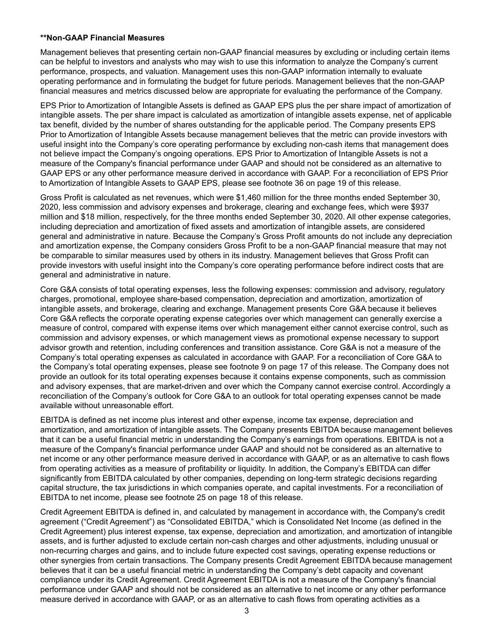#### **\*\*Non-GAAP Financial Measures**

Management believes that presenting certain non-GAAP financial measures by excluding or including certain items can be helpful to investors and analysts who may wish to use this information to analyze the Company's current performance, prospects, and valuation. Management uses this non-GAAP information internally to evaluate operating performance and in formulating the budget for future periods. Management believes that the non-GAAP financial measures and metrics discussed below are appropriate for evaluating the performance of the Company.

EPS Prior to Amortization of Intangible Assets is defined as GAAP EPS plus the per share impact of amortization of intangible assets. The per share impact is calculated as amortization of intangible assets expense, net of applicable tax benefit, divided by the number of shares outstanding for the applicable period. The Company presents EPS Prior to Amortization of Intangible Assets because management believes that the metric can provide investors with useful insight into the Company's core operating performance by excluding non-cash items that management does not believe impact the Company's ongoing operations. EPS Prior to Amortization of Intangible Assets is not a measure of the Company's financial performance under GAAP and should not be considered as an alternative to GAAP EPS or any other performance measure derived in accordance with GAAP. For a reconciliation of EPS Prior to Amortization of Intangible Assets to GAAP EPS, please see footnote 36 on page 19 of this release.

Gross Profit is calculated as net revenues, which were \$1,460 million for the three months ended September 30, 2020, less commission and advisory expenses and brokerage, clearing and exchange fees, which were \$937 million and \$18 million, respectively, for the three months ended September 30, 2020. All other expense categories, including depreciation and amortization of fixed assets and amortization of intangible assets, are considered general and administrative in nature. Because the Company's Gross Profit amounts do not include any depreciation and amortization expense, the Company considers Gross Profit to be a non-GAAP financial measure that may not be comparable to similar measures used by others in its industry. Management believes that Gross Profit can provide investors with useful insight into the Company's core operating performance before indirect costs that are general and administrative in nature.

Core G&A consists of total operating expenses, less the following expenses: commission and advisory, regulatory charges, promotional, employee share-based compensation, depreciation and amortization, amortization of intangible assets, and brokerage, clearing and exchange. Management presents Core G&A because it believes Core G&A reflects the corporate operating expense categories over which management can generally exercise a measure of control, compared with expense items over which management either cannot exercise control, such as commission and advisory expenses, or which management views as promotional expense necessary to support advisor growth and retention, including conferences and transition assistance. Core G&A is not a measure of the Company's total operating expenses as calculated in accordance with GAAP. For a reconciliation of Core G&A to the Company's total operating expenses, please see footnote 9 on page 17 of this release. The Company does not provide an outlook for its total operating expenses because it contains expense components, such as commission and advisory expenses, that are market-driven and over which the Company cannot exercise control. Accordingly a reconciliation of the Company's outlook for Core G&A to an outlook for total operating expenses cannot be made available without unreasonable effort.

EBITDA is defined as net income plus interest and other expense, income tax expense, depreciation and amortization, and amortization of intangible assets. The Company presents EBITDA because management believes that it can be a useful financial metric in understanding the Company's earnings from operations. EBITDA is not a measure of the Company's financial performance under GAAP and should not be considered as an alternative to net income or any other performance measure derived in accordance with GAAP, or as an alternative to cash flows from operating activities as a measure of profitability or liquidity. In addition, the Company's EBITDA can differ significantly from EBITDA calculated by other companies, depending on long-term strategic decisions regarding capital structure, the tax jurisdictions in which companies operate, and capital investments. For a reconciliation of EBITDA to net income, please see footnote 25 on page 18 of this release.

Credit Agreement EBITDA is defined in, and calculated by management in accordance with, the Company's credit agreement ("Credit Agreement") as "Consolidated EBITDA," which is Consolidated Net Income (as defined in the Credit Agreement) plus interest expense, tax expense, depreciation and amortization, and amortization of intangible assets, and is further adjusted to exclude certain non-cash charges and other adjustments, including unusual or non-recurring charges and gains, and to include future expected cost savings, operating expense reductions or other synergies from certain transactions. The Company presents Credit Agreement EBITDA because management believes that it can be a useful financial metric in understanding the Company's debt capacity and covenant compliance under its Credit Agreement. Credit Agreement EBITDA is not a measure of the Company's financial performance under GAAP and should not be considered as an alternative to net income or any other performance measure derived in accordance with GAAP, or as an alternative to cash flows from operating activities as a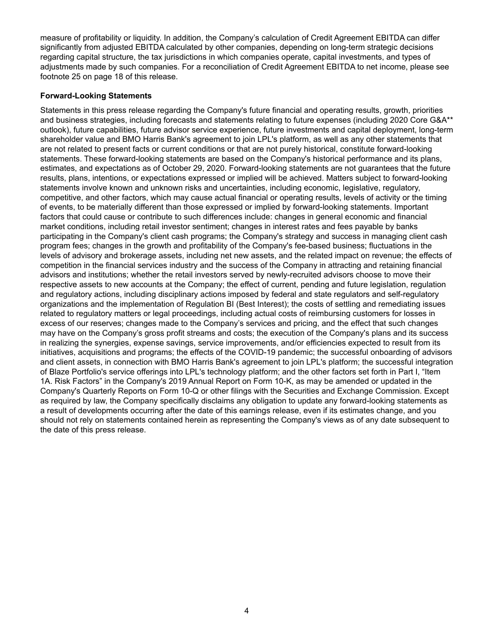measure of profitability or liquidity. In addition, the Company's calculation of Credit Agreement EBITDA can differ significantly from adjusted EBITDA calculated by other companies, depending on long-term strategic decisions regarding capital structure, the tax jurisdictions in which companies operate, capital investments, and types of adjustments made by such companies. For a reconciliation of Credit Agreement EBITDA to net income, please see footnote 25 on page 18 of this release.

## **Forward-Looking Statements**

Statements in this press release regarding the Company's future financial and operating results, growth, priorities and business strategies, including forecasts and statements relating to future expenses (including 2020 Core G&A\*\* outlook), future capabilities, future advisor service experience, future investments and capital deployment, long-term shareholder value and BMO Harris Bank's agreement to join LPL's platform, as well as any other statements that are not related to present facts or current conditions or that are not purely historical, constitute forward-looking statements. These forward-looking statements are based on the Company's historical performance and its plans, estimates, and expectations as of October 29, 2020. Forward-looking statements are not guarantees that the future results, plans, intentions, or expectations expressed or implied will be achieved. Matters subject to forward-looking statements involve known and unknown risks and uncertainties, including economic, legislative, regulatory, competitive, and other factors, which may cause actual financial or operating results, levels of activity or the timing of events, to be materially different than those expressed or implied by forward-looking statements. Important factors that could cause or contribute to such differences include: changes in general economic and financial market conditions, including retail investor sentiment; changes in interest rates and fees payable by banks participating in the Company's client cash programs; the Company's strategy and success in managing client cash program fees; changes in the growth and profitability of the Company's fee-based business; fluctuations in the levels of advisory and brokerage assets, including net new assets, and the related impact on revenue; the effects of competition in the financial services industry and the success of the Company in attracting and retaining financial advisors and institutions; whether the retail investors served by newly-recruited advisors choose to move their respective assets to new accounts at the Company; the effect of current, pending and future legislation, regulation and regulatory actions, including disciplinary actions imposed by federal and state regulators and self-regulatory organizations and the implementation of Regulation BI (Best Interest); the costs of settling and remediating issues related to regulatory matters or legal proceedings, including actual costs of reimbursing customers for losses in excess of our reserves; changes made to the Company's services and pricing, and the effect that such changes may have on the Company's gross profit streams and costs; the execution of the Company's plans and its success in realizing the synergies, expense savings, service improvements, and/or efficiencies expected to result from its initiatives, acquisitions and programs; the effects of the COVID-19 pandemic; the successful onboarding of advisors and client assets, in connection with BMO Harris Bank's agreement to join LPL's platform; the successful integration of Blaze Portfolio's service offerings into LPL's technology platform; and the other factors set forth in Part I, "Item 1A. Risk Factors" in the Company's 2019 Annual Report on Form 10-K, as may be amended or updated in the Company's Quarterly Reports on Form 10-Q or other filings with the Securities and Exchange Commission. Except as required by law, the Company specifically disclaims any obligation to update any forward-looking statements as a result of developments occurring after the date of this earnings release, even if its estimates change, and you should not rely on statements contained herein as representing the Company's views as of any date subsequent to the date of this press release.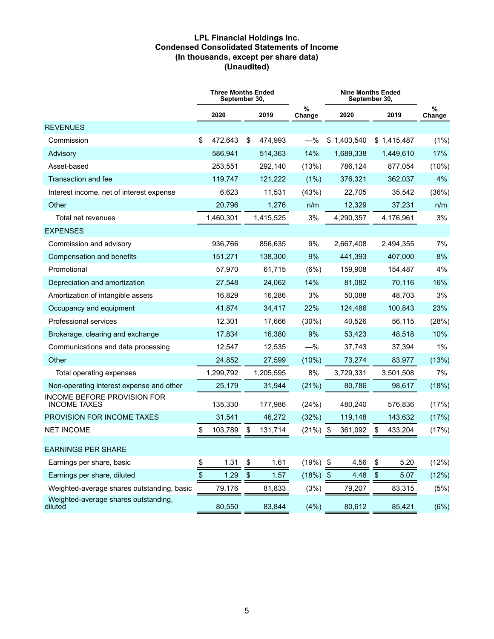#### **LPL Financial Holdings Inc. Condensed Consolidated Statements of Income (In thousands, except per share data) (Unaudited)**

|                                                           |      | <b>Three Months Ended</b><br>September 30, |      |           | <b>Nine Months Ended</b><br>September 30, |             |                           |             |             |
|-----------------------------------------------------------|------|--------------------------------------------|------|-----------|-------------------------------------------|-------------|---------------------------|-------------|-------------|
|                                                           |      | 2020                                       |      | 2019      | %<br>Change                               | 2020        | 2019                      |             | %<br>Change |
| <b>REVENUES</b>                                           |      |                                            |      |           |                                           |             |                           |             |             |
| Commission                                                | \$   | 472,643                                    | \$   | 474,993   | $-\%$                                     | \$1,403,540 |                           | \$1,415,487 | (1%)        |
| Advisory                                                  |      | 586,941                                    |      | 514,363   | 14%                                       | 1,689,338   |                           | 1,449,610   | 17%         |
| Asset-based                                               |      | 253,551                                    |      | 292,140   | (13%)                                     | 786,124     |                           | 877,054     | (10%)       |
| Transaction and fee                                       |      | 119,747                                    |      | 121,222   | (1%)                                      | 376,321     |                           | 362,037     | 4%          |
| Interest income, net of interest expense                  |      | 6,623                                      |      | 11,531    | (43%)                                     | 22,705      |                           | 35,542      | (36%)       |
| Other                                                     |      | 20,796                                     |      | 1,276     | n/m                                       | 12,329      |                           | 37,231      | n/m         |
| Total net revenues                                        |      | 1,460,301                                  |      | 1,415,525 | 3%                                        | 4,290,357   |                           | 4,176,961   | 3%          |
| <b>EXPENSES</b>                                           |      |                                            |      |           |                                           |             |                           |             |             |
| Commission and advisory                                   |      | 936,766                                    |      | 856,635   | 9%                                        | 2,667,408   |                           | 2,494,355   | 7%          |
| Compensation and benefits                                 |      | 151,271                                    |      | 138,300   | 9%                                        | 441,393     |                           | 407,000     | 8%          |
| Promotional                                               |      | 57,970                                     |      | 61.715    | (6%)                                      | 159,908     |                           | 154,487     | 4%          |
| Depreciation and amortization                             |      | 27,548                                     |      | 24,062    | 14%                                       | 81,082      |                           | 70,116      | 16%         |
| Amortization of intangible assets                         |      | 16,829                                     |      | 16,286    | 3%                                        | 50,088      |                           | 48,703      | 3%          |
| Occupancy and equipment                                   |      | 41,874                                     |      | 34,417    | 22%                                       | 124,486     |                           | 100,843     | 23%         |
| Professional services                                     |      | 12,301                                     |      | 17,666    | $(30\%)$                                  | 40,526      |                           | 56,115      | (28%)       |
| Brokerage, clearing and exchange                          |      | 17,834                                     |      | 16,380    | 9%                                        | 53,423      |                           | 48,518      | 10%         |
| Communications and data processing                        |      | 12,547                                     |      | 12,535    | $-\%$                                     | 37,743      |                           | 37,394      | $1\%$       |
| Other                                                     |      | 24,852                                     |      | 27,599    | (10%)                                     | 73,274      |                           | 83,977      | (13%)       |
| Total operating expenses                                  |      | 1,299,792                                  |      | 1,205,595 | 8%                                        | 3,729,331   |                           | 3,501,508   | 7%          |
| Non-operating interest expense and other                  |      | 25,179                                     |      | 31,944    | (21%)                                     | 80,786      |                           | 98,617      | (18%)       |
| <b>INCOME BEFORE PROVISION FOR</b><br><b>INCOME TAXES</b> |      | 135,330                                    |      | 177,986   | (24%)                                     | 480,240     |                           | 576,836     | (17%)       |
| PROVISION FOR INCOME TAXES                                |      | 31,541                                     |      | 46,272    | (32%)                                     | 119,148     |                           | 143,632     | (17%)       |
| <b>NET INCOME</b>                                         | \$   | 103,789                                    | \$   | 131,714   | $(21\%)$ \$                               | 361,092     | \$                        | 433,204     | (17%)       |
| <b>EARNINGS PER SHARE</b>                                 |      |                                            |      |           |                                           |             |                           |             |             |
| Earnings per share, basic                                 | \$   | 1.31                                       | \$   | 1.61      | $(19%)$ \$                                | 4.56        | \$                        | 5.20        | (12%)       |
| Earnings per share, diluted                               | $\,$ | 1.29                                       | $\,$ | 1.57      | $(18%)$ \$                                | 4.48        | $\boldsymbol{\mathsf{S}}$ | 5.07        | (12%)       |
| Weighted-average shares outstanding, basic                |      | 79,176                                     |      | 81,833    | (3%)                                      | 79,207      |                           | 83,315      | (5%)        |
| Weighted-average shares outstanding,<br>diluted           |      | 80,550                                     |      | 83,844    | (4% )                                     | 80,612      |                           | 85,421      | (6%)        |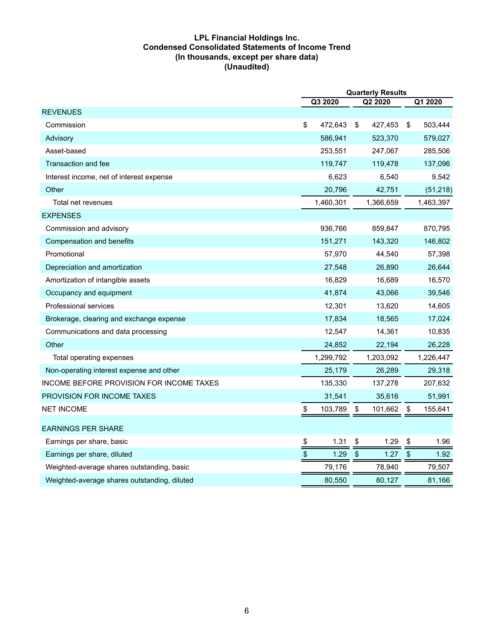#### **LPL Financial Holdings Inc. Condensed Consolidated Statements of Income Trend (In thousands, except per share data) (Unaudited)**

|                                              | <b>Quarterly Results</b> |                                   |               |  |  |  |
|----------------------------------------------|--------------------------|-----------------------------------|---------------|--|--|--|
|                                              | Q3 2020                  | Q2 2020                           | Q1 2020       |  |  |  |
| <b>REVENUES</b>                              |                          |                                   |               |  |  |  |
| Commission                                   | \$<br>472,643            | \$<br>427,453                     | \$<br>503,444 |  |  |  |
| Advisory                                     | 586,941                  | 523,370                           | 579,027       |  |  |  |
| Asset-based                                  | 253,551                  | 247,067                           | 285,506       |  |  |  |
| Transaction and fee                          | 119,747                  | 119,478                           | 137,096       |  |  |  |
| Interest income, net of interest expense     | 6,623                    | 6,540                             | 9,542         |  |  |  |
| Other                                        | 20,796                   | 42,751                            | (51, 218)     |  |  |  |
| Total net revenues                           | 1,460,301                | 1,366,659                         | 1,463,397     |  |  |  |
| <b>EXPENSES</b>                              |                          |                                   |               |  |  |  |
| Commission and advisory                      | 936,766                  | 859,847                           | 870,795       |  |  |  |
| Compensation and benefits                    | 151,271                  | 143,320                           | 146,802       |  |  |  |
| Promotional                                  | 57,970                   | 44,540                            | 57,398        |  |  |  |
| Depreciation and amortization                | 27,548                   | 26,890                            | 26,644        |  |  |  |
| Amortization of intangible assets            | 16,829                   | 16,689                            | 16,570        |  |  |  |
| Occupancy and equipment                      | 41,874                   | 43,066                            | 39,546        |  |  |  |
| Professional services                        | 12,301                   | 13,620                            | 14,605        |  |  |  |
| Brokerage, clearing and exchange expense     | 17,834                   | 18,565                            | 17,024        |  |  |  |
| Communications and data processing           | 12,547                   | 14,361                            | 10,835        |  |  |  |
| Other                                        | 24,852                   | 22,194                            | 26,228        |  |  |  |
| Total operating expenses                     | 1,299,792                | 1,203,092                         | 1,226,447     |  |  |  |
| Non-operating interest expense and other     | 25,179                   | 26,289                            | 29,318        |  |  |  |
| INCOME BEFORE PROVISION FOR INCOME TAXES     | 135,330                  | 137,278                           | 207,632       |  |  |  |
| <b>PROVISION FOR INCOME TAXES</b>            | 31,541                   | 35,616                            | 51,991        |  |  |  |
| <b>NET INCOME</b>                            | 103,789<br>S             | 101,662<br>\$                     | 155,641<br>\$ |  |  |  |
| <b>EARNINGS PER SHARE</b>                    |                          |                                   |               |  |  |  |
| Earnings per share, basic                    | \$<br>1.31               | 1.29<br>\$                        | \$<br>1.96    |  |  |  |
| Earnings per share, diluted                  | \$<br>1.29               | $\boldsymbol{\mathsf{S}}$<br>1.27 | \$<br>1.92    |  |  |  |
| Weighted-average shares outstanding, basic   | 79,176                   | 78,940                            | 79,507        |  |  |  |
| Weighted-average shares outstanding, diluted | 80,550                   | 80,127                            | 81,166        |  |  |  |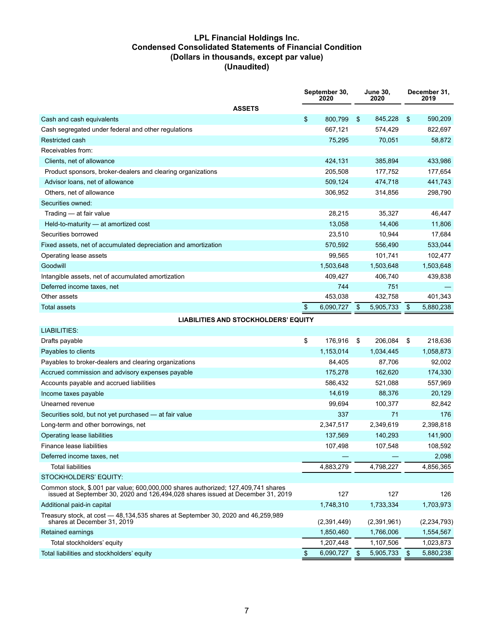#### **LPL Financial Holdings Inc. Condensed Consolidated Statements of Financial Condition (Dollars in thousands, except par value) (Unaudited)**

|                                                                                                                                                                      | September 30,<br>2020 |           | <b>June 30,</b><br>2020 |           |               | December 31,<br>2019 |
|----------------------------------------------------------------------------------------------------------------------------------------------------------------------|-----------------------|-----------|-------------------------|-----------|---------------|----------------------|
| <b>ASSETS</b>                                                                                                                                                        |                       |           |                         |           |               |                      |
| Cash and cash equivalents                                                                                                                                            | \$                    | 800,799   | \$                      | 845,228   | \$            | 590,209              |
| Cash segregated under federal and other regulations                                                                                                                  |                       | 667,121   |                         | 574,429   |               | 822,697              |
| Restricted cash                                                                                                                                                      |                       | 75,295    |                         | 70,051    |               | 58,872               |
| Receivables from:                                                                                                                                                    |                       |           |                         |           |               |                      |
| Clients, net of allowance                                                                                                                                            |                       | 424,131   |                         | 385,894   |               | 433,986              |
| Product sponsors, broker-dealers and clearing organizations                                                                                                          |                       | 205,508   |                         | 177,752   |               | 177,654              |
| Advisor Ioans, net of allowance                                                                                                                                      |                       | 509,124   |                         | 474,718   |               | 441,743              |
| Others, net of allowance                                                                                                                                             |                       | 306,952   |                         | 314,856   |               | 298,790              |
| Securities owned:                                                                                                                                                    |                       |           |                         |           |               |                      |
| Trading - at fair value                                                                                                                                              |                       | 28,215    |                         | 35,327    |               | 46,447               |
| Held-to-maturity - at amortized cost                                                                                                                                 |                       | 13,058    |                         | 14,406    |               | 11,806               |
| Securities borrowed                                                                                                                                                  |                       | 23,510    |                         | 10,944    |               | 17,684               |
| Fixed assets, net of accumulated depreciation and amortization                                                                                                       |                       | 570,592   |                         | 556,490   |               | 533,044              |
| Operating lease assets                                                                                                                                               |                       | 99,565    |                         | 101,741   |               | 102,477              |
| Goodwill                                                                                                                                                             |                       | 1,503,648 |                         | 1,503,648 |               | 1,503,648            |
| Intangible assets, net of accumulated amortization                                                                                                                   |                       | 409,427   |                         | 406,740   |               | 439,838              |
| Deferred income taxes, net                                                                                                                                           |                       | 744       |                         | 751       |               |                      |
| Other assets                                                                                                                                                         |                       | 453,038   |                         | 432,758   |               | 401,343              |
| Total assets                                                                                                                                                         | $\mathfrak{F}$        | 6,090,727 | $\frac{3}{2}$           | 5,905,733 | $\frac{1}{2}$ | 5,880,238            |
| <b>LIABILITIES AND STOCKHOLDERS' EQUITY</b>                                                                                                                          |                       |           |                         |           |               |                      |
| LIABILITIES:                                                                                                                                                         |                       |           |                         |           |               |                      |
| Drafts payable                                                                                                                                                       | \$                    | 176,916   | \$                      | 206,084   | \$            | 218,636              |
| Payables to clients                                                                                                                                                  |                       | 1,153,014 |                         | 1,034,445 |               | 1,058,873            |
| Payables to broker-dealers and clearing organizations                                                                                                                |                       | 84,405    |                         | 87,706    |               | 92,002               |
| Accrued commission and advisory expenses payable                                                                                                                     |                       | 175,278   |                         | 162,620   |               | 174,330              |
| Accounts payable and accrued liabilities                                                                                                                             |                       | 586,432   |                         | 521,088   |               | 557,969              |
| Income taxes payable                                                                                                                                                 |                       | 14,619    |                         | 88,376    |               | 20,129               |
| Unearned revenue                                                                                                                                                     |                       | 99,694    |                         | 100,377   |               | 82,842               |
| Securities sold, but not yet purchased - at fair value                                                                                                               |                       | 337       |                         | 71        |               | 176                  |
| Long-term and other borrowings, net                                                                                                                                  |                       | 2,347,517 |                         | 2,349,619 |               | 2,398,818            |
| Operating lease liabilities                                                                                                                                          |                       | 137,569   |                         | 140,293   |               | 141,900              |
| Finance lease liabilities                                                                                                                                            |                       | 107,498   |                         | 107,548   |               | 108,592              |
| Deferred income taxes, net                                                                                                                                           |                       |           |                         |           |               | 2,098                |
| <b>Total liabilities</b>                                                                                                                                             |                       | 4,883,279 |                         | 4,798,227 |               | 4,856,365            |
| STOCKHOLDERS' EQUITY:                                                                                                                                                |                       |           |                         |           |               |                      |
| Common stock, \$.001 par value; 600,000,000 shares authorized; 127,409,741 shares<br>issued at September 30, 2020 and 126,494,028 shares issued at December 31, 2019 |                       | 127       |                         | 127       |               | 126                  |
| Additional paid-in capital                                                                                                                                           |                       | 1,748,310 |                         | 1,733,334 |               | 1,703,973            |
| Treasury stock, at cost - 48,134,535 shares at September 30, 2020 and 46,259,989                                                                                     |                       |           |                         |           |               |                      |

shares at December 31, 2019 (2,391,449) (2,391,961) (2,234,793) Retained earnings 1,850,460 1,766,006 1,554,567 Total stockholders' equity 1,207,448 1,107,506 1,023,873 Total liabilities and stockholders' equity and the state of the state of the state of the state of the state of the state of the state of the state of the state of the state of the state of the state of the state of the st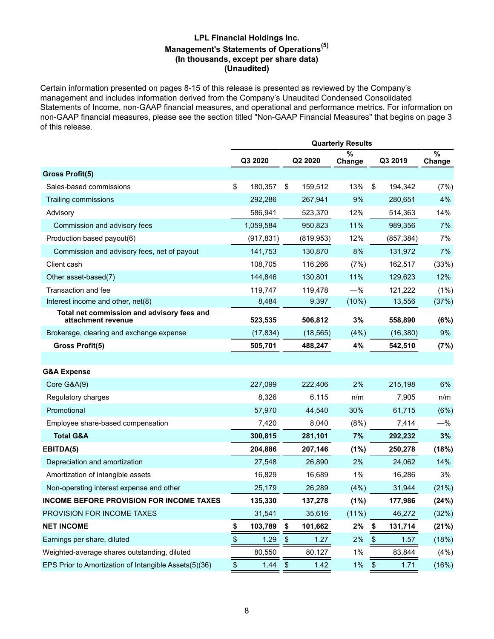## **LPL Financial Holdings Inc. Management's Statements of Operations(5) (In thousands, except per share data) (Unaudited)**

Certain information presented on pages 8-15 of this release is presented as reviewed by the Company's management and includes information derived from the Company's Unaudited Condensed Consolidated Statements of Income, non-GAAP financial measures, and operational and performance metrics. For information on non-GAAP financial measures, please see the section titled "Non-GAAP Financial Measures" that begins on page 3 of this release.

|                                                                  | <b>Quarterly Results</b> |            |                   |            |             |                       |            |             |  |
|------------------------------------------------------------------|--------------------------|------------|-------------------|------------|-------------|-----------------------|------------|-------------|--|
|                                                                  |                          | Q3 2020    |                   | Q2 2020    | %<br>Change |                       | Q3 2019    | %<br>Change |  |
| <b>Gross Profit(5)</b>                                           |                          |            |                   |            |             |                       |            |             |  |
| Sales-based commissions                                          | \$                       | 180,357    | \$                | 159,512    | 13%         | \$                    | 194,342    | (7%)        |  |
| Trailing commissions                                             |                          | 292,286    |                   | 267,941    | 9%          |                       | 280,651    | 4%          |  |
| Advisory                                                         |                          | 586,941    |                   | 523,370    | 12%         |                       | 514,363    | 14%         |  |
| Commission and advisory fees                                     |                          | 1,059,584  |                   | 950,823    | 11%         |                       | 989,356    | 7%          |  |
| Production based payout(6)                                       |                          | (917, 831) |                   | (819, 953) | 12%         |                       | (857, 384) | 7%          |  |
| Commission and advisory fees, net of payout                      |                          | 141,753    |                   | 130,870    | 8%          |                       | 131,972    | 7%          |  |
| Client cash                                                      |                          | 108,705    |                   | 116,266    | (7%)        |                       | 162,517    | (33%)       |  |
| Other asset-based(7)                                             |                          | 144,846    |                   | 130,801    | 11%         |                       | 129,623    | 12%         |  |
| Transaction and fee                                              |                          | 119,747    |                   | 119,478    | $-\%$       |                       | 121,222    | $(1\%)$     |  |
| Interest income and other, net(8)                                |                          | 8,484      |                   | 9,397      | (10%)       |                       | 13,556     | (37%)       |  |
| Total net commission and advisory fees and<br>attachment revenue |                          | 523,535    |                   | 506,812    | 3%          |                       | 558,890    | (6%)        |  |
| Brokerage, clearing and exchange expense                         |                          | (17, 834)  |                   | (18, 565)  | (4% )       |                       | (16, 380)  | 9%          |  |
| Gross Profit(5)                                                  |                          | 505,701    |                   | 488,247    | 4%          |                       | 542,510    | (7%)        |  |
|                                                                  |                          |            |                   |            |             |                       |            |             |  |
| <b>G&amp;A Expense</b>                                           |                          |            |                   |            |             |                       |            |             |  |
| Core G&A(9)                                                      |                          | 227,099    |                   | 222,406    | 2%          |                       | 215,198    | 6%          |  |
| Regulatory charges                                               |                          | 8,326      |                   | 6,115      | n/m         |                       | 7,905      | n/m         |  |
| Promotional                                                      |                          | 57,970     |                   | 44,540     | 30%         |                       | 61,715     | (6%)        |  |
| Employee share-based compensation                                |                          | 7,420      |                   | 8,040      | (8%)        |                       | 7,414      | $-\%$       |  |
| <b>Total G&amp;A</b>                                             |                          | 300,815    |                   | 281,101    | 7%          |                       | 292,232    | 3%          |  |
| EBITDA(5)                                                        |                          | 204,886    |                   | 207,146    | (1%)        |                       | 250,278    | (18%)       |  |
| Depreciation and amortization                                    |                          | 27,548     |                   | 26,890     | 2%          |                       | 24,062     | 14%         |  |
| Amortization of intangible assets                                |                          | 16,829     |                   | 16,689     | 1%          |                       | 16,286     | 3%          |  |
| Non-operating interest expense and other                         |                          | 25,179     |                   | 26,289     | (4% )       |                       | 31,944     | (21%)       |  |
| <b>INCOME BEFORE PROVISION FOR INCOME TAXES</b>                  |                          | 135,330    |                   | 137,278    | (1%)        |                       | 177,986    | (24%)       |  |
| PROVISION FOR INCOME TAXES                                       |                          | 31,541     |                   | 35,616     | (11%)       |                       | 46,272     | (32%)       |  |
| <b>NET INCOME</b>                                                | \$                       | 103,789    | \$                | 101,662    | 2%          | - \$                  | 131,714    | (21%)       |  |
| Earnings per share, diluted                                      | \$                       | 1.29       | \$                | 1.27       | 2%          | $\boldsymbol{\theta}$ | 1.57       | (18%)       |  |
| Weighted-average shares outstanding, diluted                     |                          | 80,550     |                   | 80,127     | 1%          |                       | 83,844     | (4% )       |  |
| EPS Prior to Amortization of Intangible Assets(5)(36)            | $\,$                     | 1.44       | $\boldsymbol{\$}$ | 1.42       | 1%          | $\boldsymbol{\$}$     | 1.71       | (16%)       |  |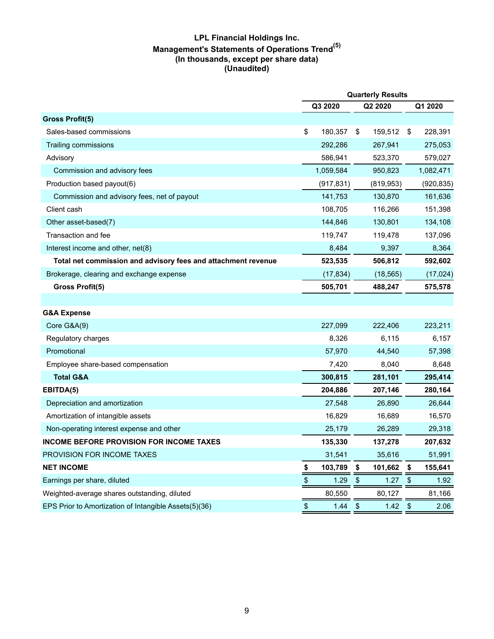# **LPL Financial Holdings Inc. Management's Statements of Operations Trend(5) (In thousands, except per share data) (Unaudited)**

|                                                               | <b>Quarterly Results</b>                  |            |                        |            |                            |            |
|---------------------------------------------------------------|-------------------------------------------|------------|------------------------|------------|----------------------------|------------|
|                                                               |                                           | Q3 2020    |                        | Q2 2020    |                            | Q1 2020    |
| <b>Gross Profit(5)</b>                                        |                                           |            |                        |            |                            |            |
| Sales-based commissions                                       | \$                                        | 180,357    | \$                     | 159,512    | \$                         | 228,391    |
| Trailing commissions                                          |                                           | 292,286    |                        | 267,941    |                            | 275,053    |
| Advisory                                                      |                                           | 586,941    |                        | 523,370    |                            | 579,027    |
| Commission and advisory fees                                  |                                           | 1,059,584  |                        | 950,823    |                            | 1,082,471  |
| Production based payout(6)                                    |                                           | (917, 831) |                        | (819, 953) |                            | (920, 835) |
| Commission and advisory fees, net of payout                   |                                           | 141,753    |                        | 130,870    |                            | 161,636    |
| Client cash                                                   |                                           | 108,705    |                        | 116,266    |                            | 151,398    |
| Other asset-based(7)                                          |                                           | 144,846    |                        | 130,801    |                            | 134,108    |
| Transaction and fee                                           |                                           | 119,747    |                        | 119,478    |                            | 137,096    |
| Interest income and other, net(8)                             |                                           | 8,484      |                        | 9,397      |                            | 8,364      |
| Total net commission and advisory fees and attachment revenue |                                           | 523,535    |                        | 506,812    |                            | 592,602    |
| Brokerage, clearing and exchange expense                      |                                           | (17, 834)  |                        | (18, 565)  |                            | (17, 024)  |
| Gross Profit(5)                                               |                                           | 505,701    |                        | 488,247    |                            | 575,578    |
|                                                               |                                           |            |                        |            |                            |            |
| <b>G&amp;A Expense</b>                                        |                                           |            |                        |            |                            |            |
| Core G&A(9)                                                   |                                           | 227,099    |                        | 222,406    |                            | 223,211    |
| Regulatory charges                                            |                                           | 8,326      |                        | 6,115      |                            | 6,157      |
| Promotional                                                   |                                           | 57,970     |                        | 44,540     |                            | 57,398     |
| Employee share-based compensation                             |                                           | 7,420      |                        | 8,040      |                            | 8,648      |
| <b>Total G&amp;A</b>                                          |                                           | 300,815    |                        | 281,101    |                            | 295,414    |
| EBITDA(5)                                                     |                                           | 204,886    |                        | 207,146    |                            | 280,164    |
| Depreciation and amortization                                 |                                           | 27,548     |                        | 26,890     |                            | 26,644     |
| Amortization of intangible assets                             |                                           | 16,829     |                        | 16,689     |                            | 16,570     |
| Non-operating interest expense and other                      |                                           | 25,179     |                        | 26,289     |                            | 29,318     |
| <b>INCOME BEFORE PROVISION FOR INCOME TAXES</b>               |                                           | 135,330    |                        | 137,278    |                            | 207,632    |
| PROVISION FOR INCOME TAXES                                    |                                           | 31,541     |                        | 35,616     |                            | 51,991     |
| <b>NET INCOME</b>                                             | \$                                        | 103,789    | \$                     | 101,662    | \$                         | 155,641    |
| Earnings per share, diluted                                   | $\, \, \$                                 | 1.29       | $\boldsymbol{\$}$      | 1.27       | $\boldsymbol{\mathsf{\$}}$ | 1.92       |
| Weighted-average shares outstanding, diluted                  |                                           | 80,550     |                        | 80,127     |                            | 81,166     |
| EPS Prior to Amortization of Intangible Assets(5)(36)         | $\, \, \raisebox{12pt}{$\scriptstyle \$}$ | 1.44       | $\boldsymbol{\varphi}$ | 1.42       | $\frac{1}{2}$              | 2.06       |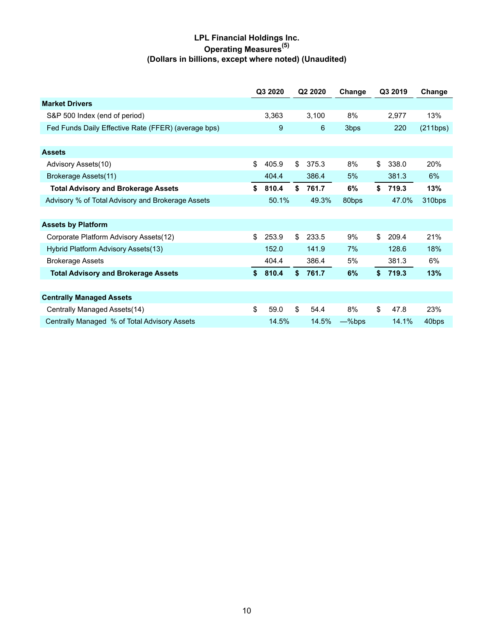# **LPL Financial Holdings Inc. Operating Measures(5) (Dollars in billions, except where noted) (Unaudited)**

|                                                     | Q3 2020     | Q2 2020     | Change    | Q3 2019     | Change   |
|-----------------------------------------------------|-------------|-------------|-----------|-------------|----------|
| <b>Market Drivers</b>                               |             |             |           |             |          |
| S&P 500 Index (end of period)                       | 3,363       | 3,100       | 8%        | 2,977       | 13%      |
| Fed Funds Daily Effective Rate (FFER) (average bps) | 9           | 6           | 3bps      | 220         | (211bps) |
|                                                     |             |             |           |             |          |
| <b>Assets</b>                                       |             |             |           |             |          |
| Advisory Assets(10)                                 | \$<br>405.9 | \$<br>375.3 | 8%        | \$<br>338.0 | 20%      |
| Brokerage Assets(11)                                | 404.4       | 386.4       | 5%        | 381.3       | 6%       |
| <b>Total Advisory and Brokerage Assets</b>          | \$<br>810.4 | \$<br>761.7 | 6%        | \$<br>719.3 | 13%      |
| Advisory % of Total Advisory and Brokerage Assets   | 50.1%       | 49.3%       | 80bps     | 47.0%       | 310bps   |
|                                                     |             |             |           |             |          |
| <b>Assets by Platform</b>                           |             |             |           |             |          |
| Corporate Platform Advisory Assets(12)              | \$<br>253.9 | \$<br>233.5 | 9%        | \$<br>209.4 | 21%      |
| Hybrid Platform Advisory Assets(13)                 | 152.0       | 141.9       | 7%        | 128.6       | 18%      |
| <b>Brokerage Assets</b>                             | 404.4       | 386.4       | 5%        | 381.3       | 6%       |
| <b>Total Advisory and Brokerage Assets</b>          | \$<br>810.4 | \$<br>761.7 | 6%        | \$<br>719.3 | 13%      |
|                                                     |             |             |           |             |          |
| <b>Centrally Managed Assets</b>                     |             |             |           |             |          |
| Centrally Managed Assets (14)                       | \$<br>59.0  | \$<br>54.4  | 8%        | \$<br>47.8  | 23%      |
| Centrally Managed % of Total Advisory Assets        | 14.5%       | 14.5%       | $-\%$ bps | 14.1%       | 40bps    |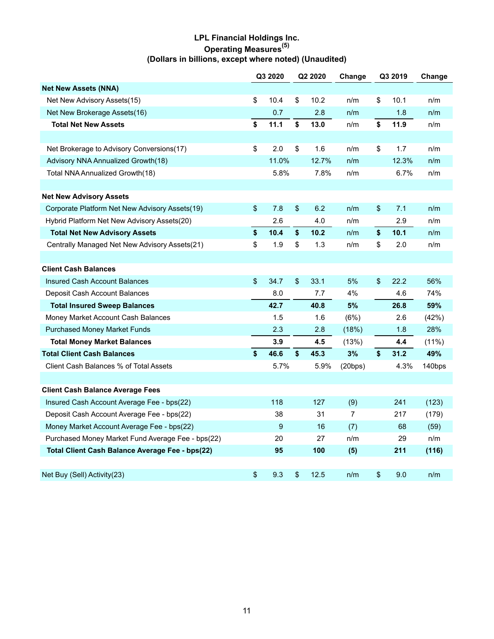# **LPL Financial Holdings Inc. Operating Measures(5) (Dollars in billions, except where noted) (Unaudited)**

|                                                   | Q3 2020 |       | Q2 2020 |       | Change         | Q3 2019 |       | Change |
|---------------------------------------------------|---------|-------|---------|-------|----------------|---------|-------|--------|
| <b>Net New Assets (NNA)</b>                       |         |       |         |       |                |         |       |        |
| Net New Advisory Assets(15)                       | \$      | 10.4  | \$      | 10.2  | n/m            | \$      | 10.1  | n/m    |
| Net New Brokerage Assets(16)                      |         | 0.7   |         | 2.8   | n/m            |         | 1.8   | n/m    |
| <b>Total Net New Assets</b>                       | \$      | 11.1  | \$      | 13.0  | n/m            | \$      | 11.9  | n/m    |
|                                                   |         |       |         |       |                |         |       |        |
| Net Brokerage to Advisory Conversions(17)         | \$      | 2.0   | \$      | 1.6   | n/m            | \$      | 1.7   | n/m    |
| Advisory NNA Annualized Growth(18)                |         | 11.0% |         | 12.7% | n/m            |         | 12.3% | n/m    |
| Total NNA Annualized Growth(18)                   |         | 5.8%  |         | 7.8%  | n/m            |         | 6.7%  | n/m    |
|                                                   |         |       |         |       |                |         |       |        |
| <b>Net New Advisory Assets</b>                    |         |       |         |       |                |         |       |        |
| Corporate Platform Net New Advisory Assets(19)    | \$      | 7.8   | \$      | 6.2   | n/m            | \$      | 7.1   | n/m    |
| Hybrid Platform Net New Advisory Assets(20)       |         | 2.6   |         | 4.0   | n/m            |         | 2.9   | n/m    |
| <b>Total Net New Advisory Assets</b>              | \$      | 10.4  | \$      | 10.2  | n/m            | \$      | 10.1  | n/m    |
| Centrally Managed Net New Advisory Assets(21)     | \$      | 1.9   | \$      | 1.3   | n/m            | \$      | 2.0   | n/m    |
|                                                   |         |       |         |       |                |         |       |        |
| <b>Client Cash Balances</b>                       |         |       |         |       |                |         |       |        |
| <b>Insured Cash Account Balances</b>              | \$      | 34.7  | \$      | 33.1  | 5%             | \$      | 22.2  | 56%    |
| Deposit Cash Account Balances                     |         | 8.0   |         | 7.7   | 4%             |         | 4.6   | 74%    |
| <b>Total Insured Sweep Balances</b>               |         | 42.7  |         | 40.8  | 5%             |         | 26.8  | 59%    |
| Money Market Account Cash Balances                |         | 1.5   |         | 1.6   | (6%)           |         | 2.6   | (42%)  |
| <b>Purchased Money Market Funds</b>               |         | 2.3   |         | 2.8   | (18%)          |         | 1.8   | 28%    |
| <b>Total Money Market Balances</b>                |         | 3.9   |         | 4.5   | (13%)          |         | 4.4   | (11%)  |
| <b>Total Client Cash Balances</b>                 | \$      | 46.6  | \$      | 45.3  | 3%             | \$      | 31.2  | 49%    |
| Client Cash Balances % of Total Assets            |         | 5.7%  |         | 5.9%  | (20bps)        |         | 4.3%  | 140bps |
|                                                   |         |       |         |       |                |         |       |        |
| <b>Client Cash Balance Average Fees</b>           |         |       |         |       |                |         |       |        |
| Insured Cash Account Average Fee - bps(22)        |         | 118   |         | 127   | (9)            |         | 241   | (123)  |
| Deposit Cash Account Average Fee - bps(22)        |         | 38    |         | 31    | $\overline{7}$ |         | 217   | (179)  |
| Money Market Account Average Fee - bps(22)        |         | 9     |         | 16    | (7)            |         | 68    | (59)   |
| Purchased Money Market Fund Average Fee - bps(22) |         | 20    |         | 27    | n/m            |         | 29    | n/m    |
| Total Client Cash Balance Average Fee - bps(22)   |         | 95    |         | 100   | (5)            |         | 211   | (116)  |
|                                                   |         |       |         |       |                |         |       |        |
| Net Buy (Sell) Activity(23)                       | \$      | 9.3   | \$      | 12.5  | n/m            | \$      | 9.0   | n/m    |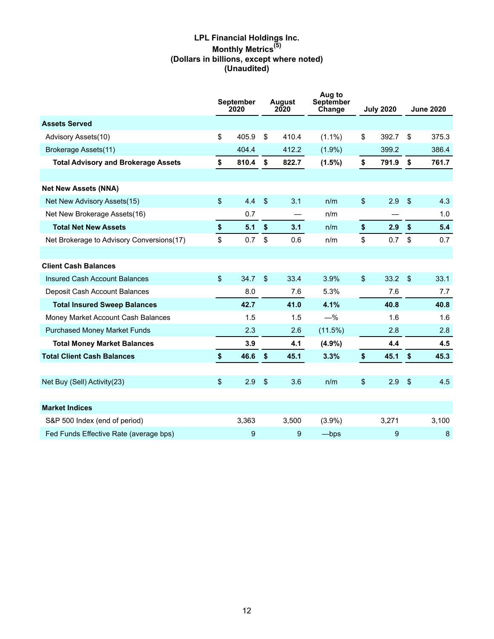# **LPL Financial Holdings Inc. Monthly Metrics(5) (Dollars in billions, except where noted) (Unaudited)**

|                                            |              | <b>September</b><br>2020 | <b>August</b><br>2020 |       | Aug to<br>September<br>Change | <b>July 2020</b> |       |                | <b>June 2020</b> |
|--------------------------------------------|--------------|--------------------------|-----------------------|-------|-------------------------------|------------------|-------|----------------|------------------|
| <b>Assets Served</b>                       |              |                          |                       |       |                               |                  |       |                |                  |
| Advisory Assets(10)                        | \$           | 405.9                    | \$                    | 410.4 | $(1.1\%)$                     | \$               | 392.7 | \$             | 375.3            |
| Brokerage Assets(11)                       |              | 404.4                    |                       | 412.2 | $(1.9\%)$                     |                  | 399.2 |                | 386.4            |
| <b>Total Advisory and Brokerage Assets</b> | \$           | 810.4                    | \$                    | 822.7 | $(1.5\%)$                     | \$               | 791.9 | \$             | 761.7            |
|                                            |              |                          |                       |       |                               |                  |       |                |                  |
| <b>Net New Assets (NNA)</b>                |              |                          |                       |       |                               |                  |       |                |                  |
| Net New Advisory Assets(15)                | \$           | 4.4                      | $\sqrt{3}$            | 3.1   | n/m                           | \$               | 2.9   | \$             | 4.3              |
| Net New Brokerage Assets(16)               |              | 0.7                      |                       |       | n/m                           |                  |       |                | 1.0              |
| <b>Total Net New Assets</b>                | \$           | 5.1                      | \$                    | 3.1   | n/m                           | \$               | 2.9   | \$             | 5.4              |
| Net Brokerage to Advisory Conversions(17)  | \$           | 0.7                      | \$                    | 0.6   | n/m                           | \$               | 0.7   | \$             | 0.7              |
|                                            |              |                          |                       |       |                               |                  |       |                |                  |
| <b>Client Cash Balances</b>                |              |                          |                       |       |                               |                  |       |                |                  |
| Insured Cash Account Balances              | $\mathbb{S}$ | 34.7                     | $\mathfrak{L}$        | 33.4  | 3.9%                          | $\$\$            | 33.2  | $\mathfrak{L}$ | 33.1             |
| Deposit Cash Account Balances              |              | 8.0                      |                       | 7.6   | 5.3%                          |                  | 7.6   |                | 7.7              |
| <b>Total Insured Sweep Balances</b>        |              | 42.7                     |                       | 41.0  | 4.1%                          |                  | 40.8  |                | 40.8             |
| Money Market Account Cash Balances         |              | 1.5                      |                       | 1.5   | $-%$                          |                  | 1.6   |                | 1.6              |
| <b>Purchased Money Market Funds</b>        |              | 2.3                      |                       | 2.6   | $(11.5\%)$                    |                  | 2.8   |                | 2.8              |
| <b>Total Money Market Balances</b>         |              | 3.9                      |                       | 4.1   | $(4.9\%)$                     |                  | 4.4   |                | 4.5              |
| <b>Total Client Cash Balances</b>          | \$           | 46.6                     | $\sqrt[6]{2}$         | 45.1  | 3.3%                          | \$               | 45.1  | \$             | 45.3             |
|                                            |              |                          |                       |       |                               |                  |       |                |                  |
| Net Buy (Sell) Activity(23)                | \$           | 2.9                      | $\sqrt{2}$            | 3.6   | n/m                           | \$               | 2.9   | $\sqrt{3}$     | 4.5              |
|                                            |              |                          |                       |       |                               |                  |       |                |                  |
| <b>Market Indices</b>                      |              |                          |                       |       |                               |                  |       |                |                  |
| S&P 500 Index (end of period)              |              | 3,363                    |                       | 3,500 | $(3.9\%)$                     |                  | 3,271 |                | 3,100            |
| Fed Funds Effective Rate (average bps)     |              | 9                        |                       | 9     | $-\mathsf{bps}$               |                  | 9     |                | 8                |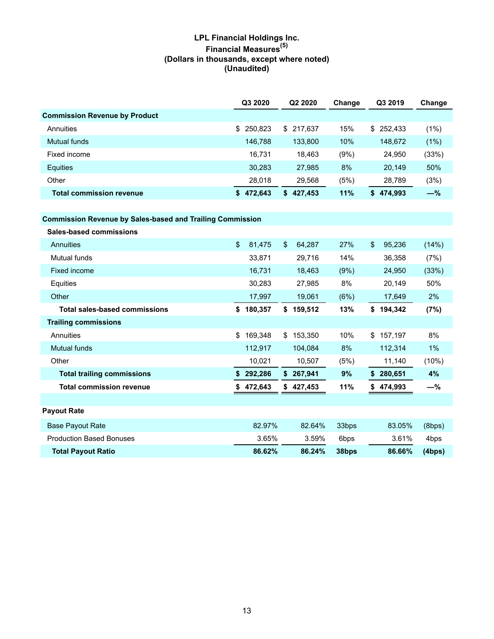# **LPL Financial Holdings Inc. Financial Measures(5) (Dollars in thousands, except where noted) (Unaudited)**

|                                      | Q3 2020       | Q2 2020       | Change | Q3 2019       | Change |
|--------------------------------------|---------------|---------------|--------|---------------|--------|
| <b>Commission Revenue by Product</b> |               |               |        |               |        |
| Annuities                            | \$250.823     | \$217.637     | 15%    | \$252.433     | (1%)   |
| Mutual funds                         | 146.788       | 133,800       | 10%    | 148,672       | (1%)   |
| Fixed income                         | 16,731        | 18.463        | (9%)   | 24,950        | (33%)  |
| Equities                             | 30.283        | 27.985        | 8%     | 20,149        | 50%    |
| Other                                | 28,018        | 29,568        | (5%)   | 28,789        | (3%)   |
| <b>Total commission revenue</b>      | 472,643<br>S. | 427,453<br>S. | 11%    | 474,993<br>\$ | $-\%$  |

**Commission Revenue by Sales-based and Trailing Commission**

| <b>Sales-based commissions</b>       |                          |               |       |                        |        |
|--------------------------------------|--------------------------|---------------|-------|------------------------|--------|
| Annuities                            | $\mathfrak{L}$<br>81,475 | \$<br>64,287  | 27%   | $\mathbf{s}$<br>95,236 | (14%)  |
| Mutual funds                         | 33,871                   | 29,716        | 14%   | 36,358                 | (7%)   |
| Fixed income                         | 16,731                   | 18,463        | (9%)  | 24,950                 | (33%)  |
| Equities                             | 30,283                   | 27,985        | 8%    | 20,149                 | 50%    |
| Other                                | 17,997                   | 19,061        | (6%)  | 17,649                 | 2%     |
| <b>Total sales-based commissions</b> | 180,357<br>\$            | 159,512<br>\$ | 13%   | 194,342<br>\$          | (7%)   |
| <b>Trailing commissions</b>          |                          |               |       |                        |        |
| Annuities                            | \$<br>169,348            | 153,350<br>\$ | 10%   | 157,197<br>\$          | 8%     |
| <b>Mutual funds</b>                  | 112,917                  | 104,084       | 8%    | 112,314                | $1\%$  |
| Other                                | 10,021                   | 10,507        | (5%)  | 11,140                 | (10%)  |
| <b>Total trailing commissions</b>    | 292,286<br>S             | 267,941<br>\$ | 9%    | 280,651<br>\$          | 4%     |
| <b>Total commission revenue</b>      | 472,643                  | 427,453<br>\$ | 11%   | 474,993<br>S.          | -%     |
|                                      |                          |               |       |                        |        |
| <b>Payout Rate</b>                   |                          |               |       |                        |        |
| <b>Base Payout Rate</b>              | 82.97%                   | 82.64%        | 33bps | 83.05%                 | (8bps) |
| <b>Production Based Bonuses</b>      | 3.65%                    | 3.59%         | 6bps  | 3.61%                  | 4bps   |
| <b>Total Payout Ratio</b>            | 86.62%                   | 86.24%        | 38bps | 86.66%                 | (4bps) |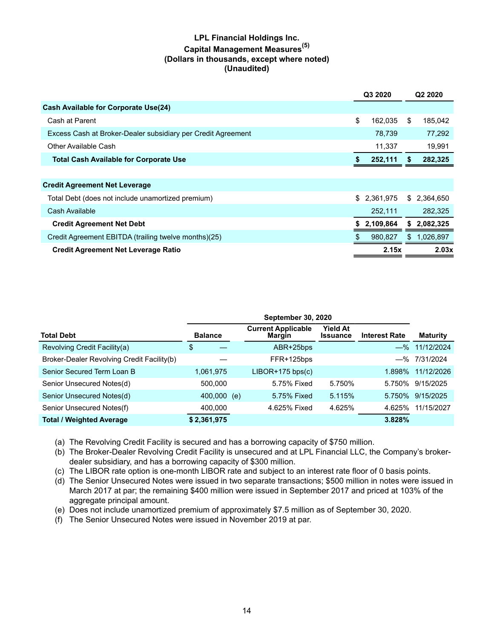# **LPL Financial Holdings Inc. Capital Management Measures(5) (Dollars in thousands, except where noted) (Unaudited)**

|                                                              | Q3 2020 |           |     | Q <sub>2</sub> 2020 |
|--------------------------------------------------------------|---------|-----------|-----|---------------------|
| <b>Cash Available for Corporate Use(24)</b>                  |         |           |     |                     |
| Cash at Parent                                               | \$      | 162.035   | \$  | 185.042             |
| Excess Cash at Broker-Dealer subsidiary per Credit Agreement |         | 78,739    |     | 77,292              |
| Other Available Cash                                         |         | 11,337    |     | 19,991              |
| <b>Total Cash Available for Corporate Use</b>                |         | 252,111   | S.  | 282,325             |
|                                                              |         |           |     |                     |
| <b>Credit Agreement Net Leverage</b>                         |         |           |     |                     |
| Total Debt (does not include unamortized premium)            | \$      | 2,361,975 |     | \$ 2,364,650        |
| Cash Available                                               |         | 252,111   |     | 282,325             |
| <b>Credit Agreement Net Debt</b>                             | S       | 2,109,864 |     | 2,082,325           |
| Credit Agreement EBITDA (trailing twelve months)(25)         | S       | 980.827   | \$. | 1,026,897           |
| <b>Credit Agreement Net Leverage Ratio</b>                   |         | 2.15x     |     | 2.03x               |

| <b>Total Debt</b>                          | <b>Balance</b> |     | <b>Current Applicable</b><br>Margin | <b>Yield At</b><br><b>Issuance</b> | <b>Interest Rate</b> | <b>Maturity</b>  |
|--------------------------------------------|----------------|-----|-------------------------------------|------------------------------------|----------------------|------------------|
| Revolving Credit Facility(a)               | \$             |     | ABR+25bps                           |                                    |                      | $-$ % 11/12/2024 |
| Broker-Dealer Revolving Credit Facility(b) |                |     | FFR+125bps                          |                                    |                      | $-$ % 7/31/2024  |
| Senior Secured Term Loan B                 | 1,061,975      |     | $LIBOR+175$ bps $(c)$               |                                    | 1.898%               | 11/12/2026       |
| Senior Unsecured Notes(d)                  | 500.000        |     | 5.75% Fixed                         | 5.750%                             | 5.750%               | 9/15/2025        |
| Senior Unsecured Notes(d)                  | 400,000        | (e) | 5.75% Fixed                         | 5.115%                             | 5.750%               | 9/15/2025        |
| Senior Unsecured Notes(f)                  | 400,000        |     | 4.625% Fixed                        | 4.625%                             | 4.625%               | 11/15/2027       |
| <b>Total / Weighted Average</b>            | \$2,361,975    |     |                                     |                                    | 3.828%               |                  |

- (a) The Revolving Credit Facility is secured and has a borrowing capacity of \$750 million.
- (b) The Broker-Dealer Revolving Credit Facility is unsecured and at LPL Financial LLC, the Company's brokerdealer subsidiary, and has a borrowing capacity of \$300 million.
- (c) The LIBOR rate option is one-month LIBOR rate and subject to an interest rate floor of 0 basis points.
- (d) The Senior Unsecured Notes were issued in two separate transactions; \$500 million in notes were issued in March 2017 at par; the remaining \$400 million were issued in September 2017 and priced at 103% of the aggregate principal amount.
- (e) Does not include unamortized premium of approximately \$7.5 million as of September 30, 2020.
- (f) The Senior Unsecured Notes were issued in November 2019 at par.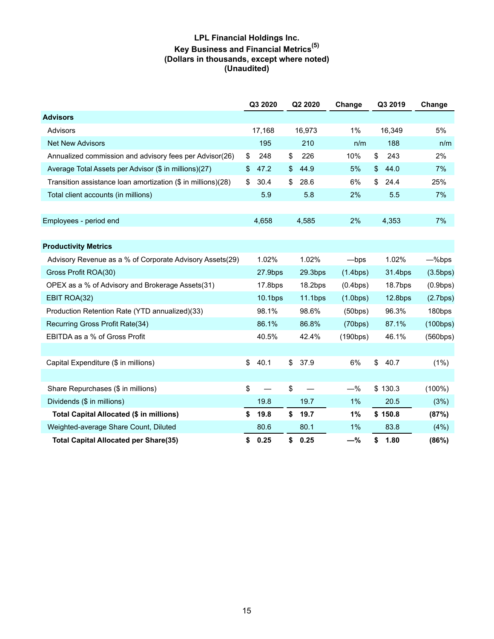# **LPL Financial Holdings Inc. Key Business and Financial Metrics(5) (Dollars in thousands, except where noted) (Unaudited)**

|                                                              | Q3 2020                        | Q2 2020             | Change          |     | Q3 2019    | Change    |
|--------------------------------------------------------------|--------------------------------|---------------------|-----------------|-----|------------|-----------|
| <b>Advisors</b>                                              |                                |                     |                 |     |            |           |
| Advisors                                                     | 17,168                         | 16,973              | 1%              |     | 16,349     | 5%        |
| <b>Net New Advisors</b>                                      | 195                            | 210                 |                 | n/m | 188        | n/m       |
| Annualized commission and advisory fees per Advisor(26)      | \$<br>248                      | \$<br>226           | 10%             |     | 243<br>\$  | 2%        |
| Average Total Assets per Advisor (\$ in millions)(27)        | \$<br>47.2                     | \$<br>44.9          | 5%              |     | 44.0<br>\$ | 7%        |
| Transition assistance loan amortization (\$ in millions)(28) | \$<br>30.4                     | \$<br>28.6          | 6%              |     | \$<br>24.4 | 25%       |
| Total client accounts (in millions)                          | 5.9                            | 5.8                 | 2%              |     | 5.5        | 7%        |
|                                                              |                                |                     |                 |     |            |           |
| Employees - period end                                       | 4,658                          | 4,585               | 2%              |     | 4,353      | 7%        |
|                                                              |                                |                     |                 |     |            |           |
| <b>Productivity Metrics</b>                                  |                                |                     |                 |     |            |           |
| Advisory Revenue as a % of Corporate Advisory Assets(29)     | 1.02%                          | 1.02%               | $-\mathsf{bps}$ |     | 1.02%      | -%bps     |
| Gross Profit ROA(30)                                         | 27.9bps                        | 29.3 <sub>bps</sub> | (1.4bps)        |     | 31.4bps    | (3.5bps)  |
| OPEX as a % of Advisory and Brokerage Assets(31)             | 17.8bps                        | 18.2bps             | (0.4bps)        |     | 18.7bps    | (0.9bps)  |
| EBIT ROA(32)                                                 | 10.1bps                        | 11.1bps             | (1.0bps)        |     | 12.8bps    | (2.7bps)  |
| Production Retention Rate (YTD annualized)(33)               | 98.1%                          | 98.6%               | (50bps)         |     | 96.3%      | 180bps    |
| Recurring Gross Profit Rate(34)                              | 86.1%                          | 86.8%               | (70bps)         |     | 87.1%      | (100bps)  |
| EBITDA as a % of Gross Profit                                | 40.5%                          | 42.4%               | (190bps)        |     | 46.1%      | (560bps)  |
|                                                              |                                |                     |                 |     |            |           |
| Capital Expenditure (\$ in millions)                         | \$<br>40.1                     | \$<br>37.9          | 6%              |     | \$<br>40.7 | (1%)      |
|                                                              |                                |                     |                 |     |            |           |
| Share Repurchases (\$ in millions)                           | \$<br>$\overline{\phantom{0}}$ | \$                  | $-\%$           |     | \$130.3    | $(100\%)$ |
| Dividends (\$ in millions)                                   | 19.8                           | 19.7                | 1%              |     | 20.5       | (3%)      |
| Total Capital Allocated (\$ in millions)                     | \$<br>19.8                     | \$<br>19.7          | 1%              |     | \$150.8    | (87%)     |
| Weighted-average Share Count, Diluted                        | 80.6                           | 80.1                | 1%              |     | 83.8       | (4%)      |
| <b>Total Capital Allocated per Share(35)</b>                 | \$<br>0.25                     | \$<br>0.25          | $-\%$           |     | \$<br>1.80 | (86%)     |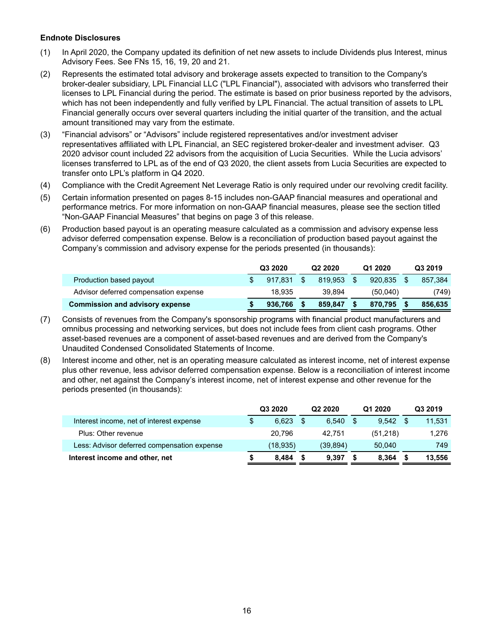#### **Endnote Disclosures**

- (1) In April 2020, the Company updated its definition of net new assets to include Dividends plus Interest, minus Advisory Fees. See FNs 15, 16, 19, 20 and 21.
- (2) Represents the estimated total advisory and brokerage assets expected to transition to the Company's broker-dealer subsidiary, LPL Financial LLC ("LPL Financial"), associated with advisors who transferred their licenses to LPL Financial during the period. The estimate is based on prior business reported by the advisors, which has not been independently and fully verified by LPL Financial. The actual transition of assets to LPL Financial generally occurs over several quarters including the initial quarter of the transition, and the actual amount transitioned may vary from the estimate.
- (3) "Financial advisors" or "Advisors" include registered representatives and/or investment adviser representatives affiliated with LPL Financial, an SEC registered broker-dealer and investment adviser. Q3 2020 advisor count included 22 advisors from the acquisition of Lucia Securities. While the Lucia advisors' licenses transferred to LPL as of the end of Q3 2020, the client assets from Lucia Securities are expected to transfer onto LPL's platform in Q4 2020.
- (4) Compliance with the Credit Agreement Net Leverage Ratio is only required under our revolving credit facility.
- (5) Certain information presented on pages 8-15 includes non-GAAP financial measures and operational and performance metrics. For more information on non-GAAP financial measures, please see the section titled "Non-GAAP Financial Measures" that begins on page 3 of this release.
- (6) Production based payout is an operating measure calculated as a commission and advisory expense less advisor deferred compensation expense. Below is a reconciliation of production based payout against the Company's commission and advisory expense for the periods presented (in thousands):

|                                        | Q3 2020 |         | Q <sub>2</sub> 2020 |         | Q1 2020  | Q3 2019 |         |  |
|----------------------------------------|---------|---------|---------------------|---------|----------|---------|---------|--|
| Production based payout                |         | 917.831 | \$                  | 819.953 | 920.835  |         | 857.384 |  |
| Advisor deferred compensation expense  |         | 18.935  |                     | 39.894  | (50,040) |         | (749)   |  |
| <b>Commission and advisory expense</b> |         | 936,766 |                     | 859.847 | 870.795  |         | 856.635 |  |

- (7) Consists of revenues from the Company's sponsorship programs with financial product manufacturers and omnibus processing and networking services, but does not include fees from client cash programs. Other asset-based revenues are a component of asset-based revenues and are derived from the Company's Unaudited Condensed Consolidated Statements of Income.
- (8) Interest income and other, net is an operating measure calculated as interest income, net of interest expense plus other revenue, less advisor deferred compensation expense. Below is a reconciliation of interest income and other, net against the Company's interest income, net of interest expense and other revenue for the periods presented (in thousands):

|                                             | Q3 2020     |    | Q <sub>2</sub> 2020 |     | Q1 2020  | Q3 2019 |
|---------------------------------------------|-------------|----|---------------------|-----|----------|---------|
| Interest income, net of interest expense    | \$<br>6.623 | -S | 6.540               | -\$ | 9.542    | 11,531  |
| Plus: Other revenue                         | 20.796      |    | 42.751              |     | (51,218) | 1.276   |
| Less: Advisor deferred compensation expense | (18, 935)   |    | (39, 894)           |     | 50.040   | 749     |
| Interest income and other, net              | 8.484       |    | 9.397               |     | 8.364    | 13,556  |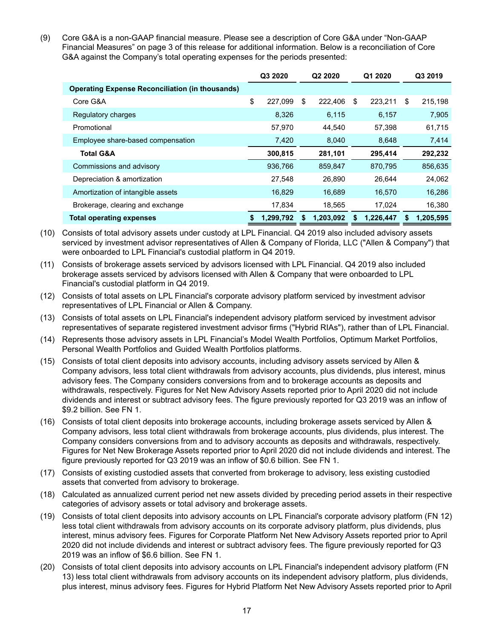(9) Core G&A is a non-GAAP financial measure. Please see a description of Core G&A under "Non-GAAP Financial Measures" on page 3 of this release for additional information. Below is a reconciliation of Core G&A against the Company's total operating expenses for the periods presented:

|                                                        |    | Q3 2020   | Q2 2020 |           | Q1 2020 |           |    | Q3 2019   |
|--------------------------------------------------------|----|-----------|---------|-----------|---------|-----------|----|-----------|
| <b>Operating Expense Reconciliation (in thousands)</b> |    |           |         |           |         |           |    |           |
| Core G&A                                               | \$ | 227.099   | \$      | 222,406   | \$      | 223,211   | \$ | 215,198   |
| Regulatory charges                                     |    | 8,326     |         | 6,115     |         | 6,157     |    | 7,905     |
| Promotional                                            |    | 57,970    |         | 44.540    |         | 57.398    |    | 61,715    |
| Employee share-based compensation                      |    | 7,420     |         | 8,040     |         | 8,648     |    | 7,414     |
| <b>Total G&amp;A</b>                                   |    | 300,815   |         | 281,101   |         | 295,414   |    | 292,232   |
| Commissions and advisory                               |    | 936,766   |         | 859,847   |         | 870,795   |    | 856,635   |
| Depreciation & amortization                            |    | 27,548    |         | 26,890    |         | 26,644    |    | 24,062    |
| Amortization of intangible assets                      |    | 16.829    |         | 16.689    |         | 16,570    |    | 16,286    |
| Brokerage, clearing and exchange                       |    | 17,834    |         | 18,565    |         | 17,024    |    | 16,380    |
| <b>Total operating expenses</b>                        | S  | 1,299,792 | S       | 1,203,092 | S       | 1,226,447 | S  | 1,205,595 |

- (10) Consists of total advisory assets under custody at LPL Financial. Q4 2019 also included advisory assets serviced by investment advisor representatives of Allen & Company of Florida, LLC ("Allen & Company") that were onboarded to LPL Financial's custodial platform in Q4 2019.
- (11) Consists of brokerage assets serviced by advisors licensed with LPL Financial. Q4 2019 also included brokerage assets serviced by advisors licensed with Allen & Company that were onboarded to LPL Financial's custodial platform in Q4 2019.
- (12) Consists of total assets on LPL Financial's corporate advisory platform serviced by investment advisor representatives of LPL Financial or Allen & Company.
- (13) Consists of total assets on LPL Financial's independent advisory platform serviced by investment advisor representatives of separate registered investment advisor firms ("Hybrid RIAs"), rather than of LPL Financial.
- (14) Represents those advisory assets in LPL Financial's Model Wealth Portfolios, Optimum Market Portfolios, Personal Wealth Portfolios and Guided Wealth Portfolios platforms.
- (15) Consists of total client deposits into advisory accounts, including advisory assets serviced by Allen & Company advisors, less total client withdrawals from advisory accounts, plus dividends, plus interest, minus advisory fees. The Company considers conversions from and to brokerage accounts as deposits and withdrawals, respectively. Figures for Net New Advisory Assets reported prior to April 2020 did not include dividends and interest or subtract advisory fees. The figure previously reported for Q3 2019 was an inflow of \$9.2 billion. See FN 1.
- (16) Consists of total client deposits into brokerage accounts, including brokerage assets serviced by Allen & Company advisors, less total client withdrawals from brokerage accounts, plus dividends, plus interest. The Company considers conversions from and to advisory accounts as deposits and withdrawals, respectively. Figures for Net New Brokerage Assets reported prior to April 2020 did not include dividends and interest. The figure previously reported for Q3 2019 was an inflow of \$0.6 billion. See FN 1.
- (17) Consists of existing custodied assets that converted from brokerage to advisory, less existing custodied assets that converted from advisory to brokerage.
- (18) Calculated as annualized current period net new assets divided by preceding period assets in their respective categories of advisory assets or total advisory and brokerage assets.
- (19) Consists of total client deposits into advisory accounts on LPL Financial's corporate advisory platform (FN 12) less total client withdrawals from advisory accounts on its corporate advisory platform, plus dividends, plus interest, minus advisory fees. Figures for Corporate Platform Net New Advisory Assets reported prior to April 2020 did not include dividends and interest or subtract advisory fees. The figure previously reported for Q3 2019 was an inflow of \$6.6 billion. See FN 1.
- (20) Consists of total client deposits into advisory accounts on LPL Financial's independent advisory platform (FN 13) less total client withdrawals from advisory accounts on its independent advisory platform, plus dividends, plus interest, minus advisory fees. Figures for Hybrid Platform Net New Advisory Assets reported prior to April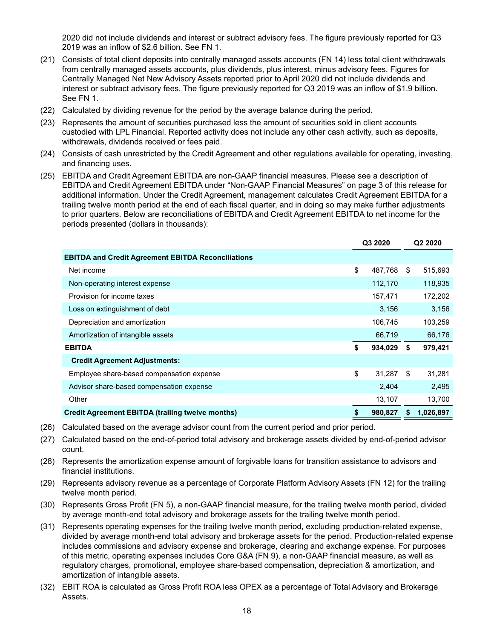2020 did not include dividends and interest or subtract advisory fees. The figure previously reported for Q3 2019 was an inflow of \$2.6 billion. See FN 1.

- (21) Consists of total client deposits into centrally managed assets accounts (FN 14) less total client withdrawals from centrally managed assets accounts, plus dividends, plus interest, minus advisory fees. Figures for Centrally Managed Net New Advisory Assets reported prior to April 2020 did not include dividends and interest or subtract advisory fees. The figure previously reported for Q3 2019 was an inflow of \$1.9 billion. See FN 1.
- (22) Calculated by dividing revenue for the period by the average balance during the period.
- (23) Represents the amount of securities purchased less the amount of securities sold in client accounts custodied with LPL Financial. Reported activity does not include any other cash activity, such as deposits, withdrawals, dividends received or fees paid.
- (24) Consists of cash unrestricted by the Credit Agreement and other regulations available for operating, investing, and financing uses.
- (25) EBITDA and Credit Agreement EBITDA are non-GAAP financial measures. Please see a description of EBITDA and Credit Agreement EBITDA under "Non-GAAP Financial Measures" on page 3 of this release for additional information. Under the Credit Agreement, management calculates Credit Agreement EBITDA for a trailing twelve month period at the end of each fiscal quarter, and in doing so may make further adjustments to prior quarters. Below are reconciliations of EBITDA and Credit Agreement EBITDA to net income for the periods presented (dollars in thousands):

|                                                           | Q3 2020 |         |    | Q <sub>2</sub> 2020 |
|-----------------------------------------------------------|---------|---------|----|---------------------|
| <b>EBITDA and Credit Agreement EBITDA Reconciliations</b> |         |         |    |                     |
| Net income                                                | \$      | 487,768 | \$ | 515,693             |
| Non-operating interest expense                            |         | 112,170 |    | 118,935             |
| Provision for income taxes                                |         | 157,471 |    | 172,202             |
| Loss on extinguishment of debt                            |         | 3,156   |    | 3,156               |
| Depreciation and amortization                             |         | 106,745 |    | 103,259             |
| Amortization of intangible assets                         |         | 66,719  |    | 66,176              |
| <b>EBITDA</b>                                             | \$      | 934,029 | S. | 979,421             |
| <b>Credit Agreement Adjustments:</b>                      |         |         |    |                     |
| Employee share-based compensation expense                 | \$      | 31.287  | \$ | 31,281              |
| Advisor share-based compensation expense                  |         | 2,404   |    | 2,495               |
| Other                                                     |         | 13,107  |    | 13,700              |
| <b>Credit Agreement EBITDA (trailing twelve months)</b>   | \$      | 980,827 |    | 1,026,897           |

- (26) Calculated based on the average advisor count from the current period and prior period.
- (27) Calculated based on the end-of-period total advisory and brokerage assets divided by end-of-period advisor count.
- (28) Represents the amortization expense amount of forgivable loans for transition assistance to advisors and financial institutions.
- (29) Represents advisory revenue as a percentage of Corporate Platform Advisory Assets (FN 12) for the trailing twelve month period.
- (30) Represents Gross Profit (FN 5), a non-GAAP financial measure, for the trailing twelve month period, divided by average month-end total advisory and brokerage assets for the trailing twelve month period.
- (31) Represents operating expenses for the trailing twelve month period, excluding production-related expense, divided by average month-end total advisory and brokerage assets for the period. Production-related expense includes commissions and advisory expense and brokerage, clearing and exchange expense. For purposes of this metric, operating expenses includes Core G&A (FN 9), a non-GAAP financial measure, as well as regulatory charges, promotional, employee share-based compensation, depreciation & amortization, and amortization of intangible assets.
- (32) EBIT ROA is calculated as Gross Profit ROA less OPEX as a percentage of Total Advisory and Brokerage Assets.